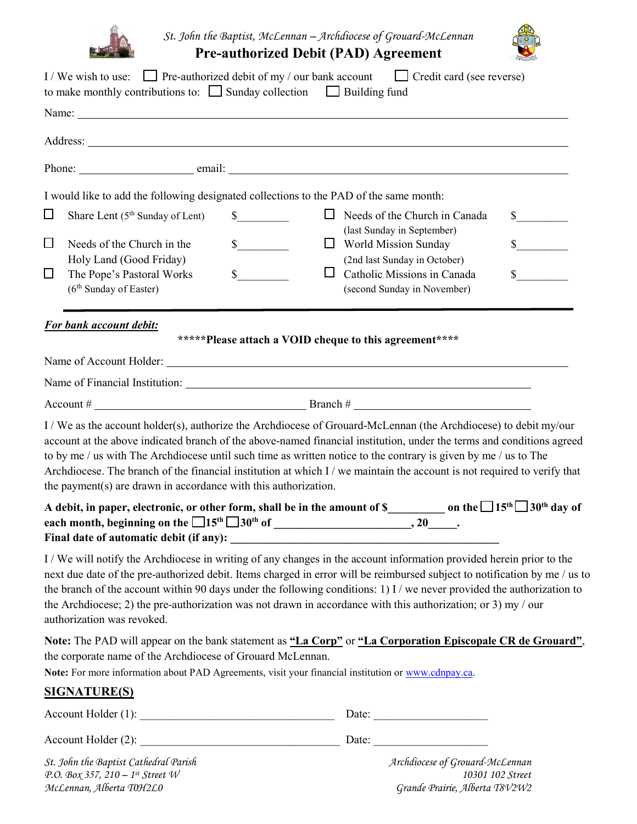

*St. John the Baptist, McLennan – Archdiocese of Grouard-McLennan*

**Pre-authorized Debit (PAD) Agreement** 



|                  | I/We wish to use: $\Box$ Pre-authorized debit of my / our bank account $\Box$ Credit card (see reverse)<br>to make monthly contributions to: $\Box$ Sunday collection $\Box$ Building fund                                                                                                                                                                                                                                                                                                                                                                  |                                                        |                                |                                                                    |                              |
|------------------|-------------------------------------------------------------------------------------------------------------------------------------------------------------------------------------------------------------------------------------------------------------------------------------------------------------------------------------------------------------------------------------------------------------------------------------------------------------------------------------------------------------------------------------------------------------|--------------------------------------------------------|--------------------------------|--------------------------------------------------------------------|------------------------------|
|                  |                                                                                                                                                                                                                                                                                                                                                                                                                                                                                                                                                             |                                                        |                                |                                                                    |                              |
|                  |                                                                                                                                                                                                                                                                                                                                                                                                                                                                                                                                                             |                                                        |                                |                                                                    |                              |
|                  |                                                                                                                                                                                                                                                                                                                                                                                                                                                                                                                                                             |                                                        |                                |                                                                    |                              |
|                  | I would like to add the following designated collections to the PAD of the same month:                                                                                                                                                                                                                                                                                                                                                                                                                                                                      |                                                        |                                |                                                                    |                              |
| $\Box$           | Share Lent $(5th$ Sunday of Lent)                                                                                                                                                                                                                                                                                                                                                                                                                                                                                                                           | $\frac{\text{S}}{\text{S}}$                            |                                | $\Box$ Needs of the Church in Canada<br>(last Sunday in September) | $\sim$                       |
| $\Box$<br>$\Box$ | Needs of the Church in the<br>Holy Land (Good Friday)<br>The Pope's Pastoral Works                                                                                                                                                                                                                                                                                                                                                                                                                                                                          | $\frac{\text{S}}{\text{S}}$<br>$\mathbb{S}$            | World Mission Sunday<br>$\Box$ | (2nd last Sunday in October)<br>Catholic Missions in Canada        | $\mathbb{S}$<br>$\mathbb{S}$ |
|                  | (6 <sup>th</sup> Sunday of Easter)                                                                                                                                                                                                                                                                                                                                                                                                                                                                                                                          |                                                        |                                | (second Sunday in November)                                        |                              |
|                  | <b>For bank account debit:</b>                                                                                                                                                                                                                                                                                                                                                                                                                                                                                                                              |                                                        |                                |                                                                    |                              |
|                  |                                                                                                                                                                                                                                                                                                                                                                                                                                                                                                                                                             | *****Please attach a VOID cheque to this agreement**** |                                |                                                                    |                              |
|                  |                                                                                                                                                                                                                                                                                                                                                                                                                                                                                                                                                             |                                                        |                                |                                                                    |                              |
|                  |                                                                                                                                                                                                                                                                                                                                                                                                                                                                                                                                                             |                                                        |                                |                                                                    |                              |
|                  | Account $\#\underline{\hspace{2cm}}$ Branch $\#\underline{\hspace{2cm}}$                                                                                                                                                                                                                                                                                                                                                                                                                                                                                    |                                                        |                                |                                                                    |                              |
|                  | I / We as the account holder(s), authorize the Archdiocese of Grouard-McLennan (the Archdiocese) to debit my/our<br>account at the above indicated branch of the above-named financial institution, under the terms and conditions agreed<br>to by me / us with The Archdiocese until such time as written notice to the contrary is given by me / us to The<br>Archdiocese. The branch of the financial institution at which I / we maintain the account is not required to verify that<br>the payment(s) are drawn in accordance with this authorization. |                                                        |                                |                                                                    |                              |
|                  | A debit, in paper, electronic, or other form, shall be in the amount of S___________ on the $\square$ 15th $\square$ 30th day of                                                                                                                                                                                                                                                                                                                                                                                                                            |                                                        |                                |                                                                    |                              |
|                  | I / We will notify the Archdiocese in writing of any changes in the account information provided herein prior to the<br>next due date of the pre-authorized debit. Items charged in error will be reimbursed subject to notification by me / us to<br>the branch of the account within 90 days under the following conditions: 1) I / we never provided the authorization to<br>the Archdiocese; 2) the pre-authorization was not drawn in accordance with this authorization; or 3) my / our<br>authorization was revoked.                                 |                                                        |                                |                                                                    |                              |
|                  | Note: The PAD will appear on the bank statement as "La Corp" or "La Corporation Episcopale CR de Grouard",<br>the corporate name of the Archdiocese of Grouard McLennan.<br>Note: For more information about PAD Agreements, visit your financial institution or www.cdnpay.ca.                                                                                                                                                                                                                                                                             |                                                        |                                |                                                                    |                              |
|                  | <u>SIGNATURE(S)</u>                                                                                                                                                                                                                                                                                                                                                                                                                                                                                                                                         |                                                        |                                |                                                                    |                              |
|                  | $Account \: Holder(1):$                                                                                                                                                                                                                                                                                                                                                                                                                                                                                                                                     |                                                        |                                |                                                                    |                              |
|                  |                                                                                                                                                                                                                                                                                                                                                                                                                                                                                                                                                             |                                                        |                                |                                                                    |                              |
|                  | St. John the Baptist Cathedral Parish                                                                                                                                                                                                                                                                                                                                                                                                                                                                                                                       |                                                        |                                | Archdiocese of Grouard-McLennan                                    |                              |

*P.O. Box 357, 210 – 1st Street W 10301 102 Street McLennan, Alberta T0H2L0 Grande Prairie, Alberta T8V2W2*